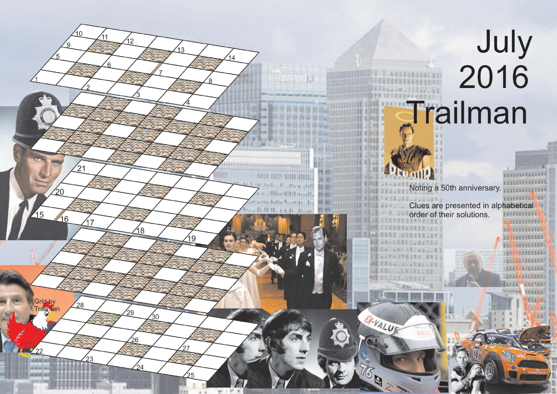## July<br>2016 Trailman

**CONSTRUCTION** 

**ALLEETITES** 

<u>ka kabaanan i</u> **11 LIFETILLE** 

minimum **CONTRACTORIES THE PERSON COLORED REPORT OF A SERVICE OF A SERVICE OF A SERVICE OF A SERVICE OF A SERVICE OF A SERVICE OF A SERVICE OF A JEFFER FREEZERS** 

**GEATER** 

**VEISEI** 

turan:

**BRYTING** 

**FEED RESERVED** Noting a 50th anniversary. **VISITEERING** THURSDAY 28 Clues are presented in alphabetical order of their solutions. ,,,,,,,,,,,

B-VALUT

16

 $|2$ 

18

29

26

24

30

 $^{\prime}$ 21

 $^{28}$ 

 $20$ 

16

 $\overline{15}$ 

Grid by

 $\sqrt{22}$ 

Trailman

 $\overline{3}$ 

19

 $\overline{A}$